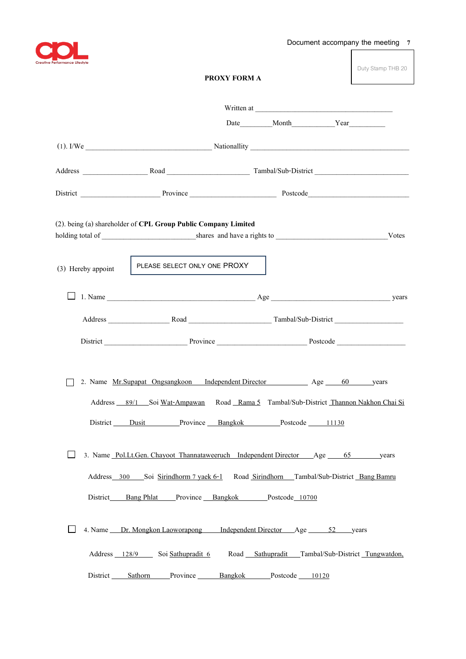

Duty Stamp THB 20

|                    |                                                                                                                                                                                                                                            | Date Month Year                                  |  |
|--------------------|--------------------------------------------------------------------------------------------------------------------------------------------------------------------------------------------------------------------------------------------|--------------------------------------------------|--|
|                    |                                                                                                                                                                                                                                            |                                                  |  |
|                    |                                                                                                                                                                                                                                            |                                                  |  |
|                    |                                                                                                                                                                                                                                            |                                                  |  |
|                    | (2). being (a) shareholder of CPL Group Public Company Limited                                                                                                                                                                             |                                                  |  |
| (3) Hereby appoint | PLEASE SELECT ONLY ONE PROXY                                                                                                                                                                                                               |                                                  |  |
|                    |                                                                                                                                                                                                                                            |                                                  |  |
|                    |                                                                                                                                                                                                                                            |                                                  |  |
|                    |                                                                                                                                                                                                                                            |                                                  |  |
|                    | 2. Name <u>Mr.Supapat Ongsangkoon</u> Independent Director Age 60 years<br>Address 89/1 Soi Wat-Ampawan Road Rama 5 Tambal/Sub-District Thannon Nakhon Chai Si<br>District Dusit Province Bangkok Postcode 11130                           |                                                  |  |
|                    | 3. Name Pol.Lt.Gen. Chayoot Thannataweeruch Independent Director Age 65 years<br>Address_300 Soi Sirindhorm 7 yaek 6-1 Road Sirindhorn Tambal/Sub-District Bang Bamru<br>District_____Bang Phlat____Province __Bangkok _____Postcode_10700 |                                                  |  |
|                    | 4. Name Dr. Mongkon Laoworapong Independent Director Age 52 years<br>Address 128/9 Soi Sathupradit 6                                                                                                                                       | Road Sathupradit Tambal/Sub-District Tungwatdon, |  |
|                    | District Sathorn Province Bangkok Postcode 10120                                                                                                                                                                                           |                                                  |  |